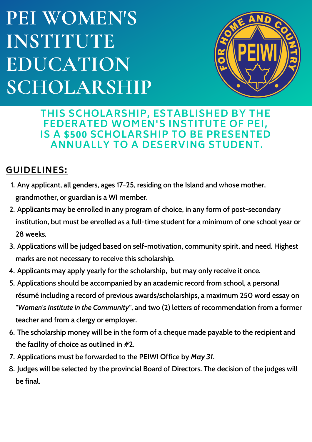# **PEI WOMEN'S INSTITUTE EDUCATION SCHOLARSHIP**



**THIS SCHOLARSHIP, ESTABLISHED BY THE FEDERATED WOMEN'S INSTITUTE OF PEI, IS A \$500 SCHOLARSHIP TO BE PRESENTED ANNUALLY TO A DESERVING STUDENT.**

#### **GUIDELINES:**

- **Any applicant, all genders, ages 17-25, residing on the Island and whose mother, 1. grandmother, or guardian is a WI member.**
- **Applicants may be enrolled in any program of choice, in any form of post-secondary 2. institution, but must be enrolled as a full-time student for a minimum of one school year or 28 weeks.**
- **Applications will be judged based on self-motivation, community spirit, and need. Highest 3. marks are not necessary to receive this scholarship.**
- **Applicants may apply yearly for the scholarship, but may only receive it once. 4.**
- **Applications should be accompanied by an academic record from school, a personal 5. résumé including a record of previous awards/scholarships, a maximum 250 word essay on** *"Women's Institute in the Community"***, and two (2) letters of recommendation from a former teacher and from a clergy or employer.**
- **The scholarship money will be in the form of a cheque made payable to the recipient and 6. the facility of choice as outlined in #2.**
- **Applications must be forwarded to the PEIWI Office by** *May 31***. 7.**
- **Judges will be selected by the provincial Board of Directors. The decision of the judges will 8. be final.**